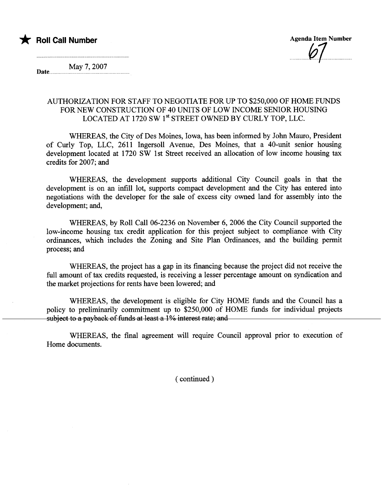

Date May 7, 2007

## AUTHORIZATION FOR STAFF TO NEGOTIATE FOR UP TO \$250,000 OF HOME FUNDS FOR NEW CONSTRUCTION OF 40 UNITS OF LOW INCOME SENIOR HOUSING LOCATED AT 1720 SW 1<sup>st</sup> STREET OWNED BY CURLY TOP, LLC.

WHEREAS, the City of Des Moines, Iowa, has been informed by John Mauro, President of Curly Top, LLC, 2611 Ingersoll Avenue, Des Moines, that a 40-unit senior housing development located at 1720 SW 1st Street received an allocation of low income housing ta credits for 2007; and

WHEREAS, the development supports additional City Council goals in that the development is on an infll lot, supports compact development and the City has entered into negotiations with the developer for the sale of excess city owned land for assembly into the development; and,

WHEREAS, by Roll Call 06-2236 on November 6, 2006 the City Council supported the low-income housing tax credit application for this project subject to compliance with City ordinances, which includes the Zoning and Site Plan Ordinances, and the building permit process; and

WHEREAS, the project has a gap in its financing because the project did not receive the full amount of tax credits requested, is receiving a lesser percentage amount on syndication and the market projections for rents have been lowered; and

WHEREAS, the development is eligible for City HOME fuds and the Council has a policy to preliminarly commitment up to \$250,000 of HOME fuds for individua projects subject to a payback of funds at least a 1% interest rate; and

WHEREAS, the final agreement will require Council approval prior to execution of Home documents.

( continued)